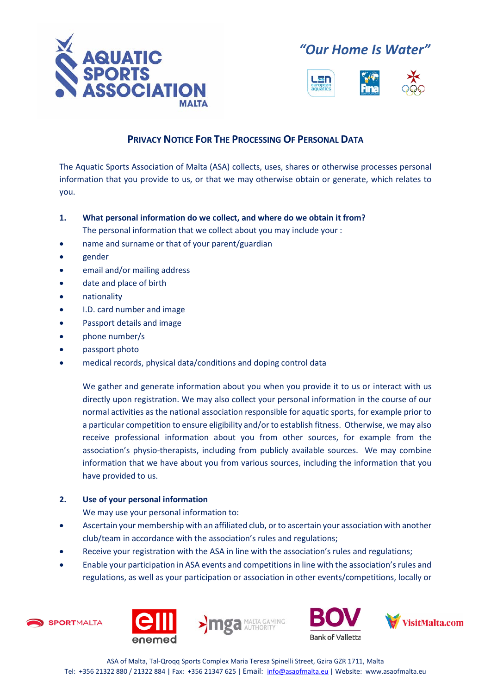

*"Our Home Is Water"*



# **PRIVACY NOTICE FOR THE PROCESSING OF PERSONAL DATA**

The Aquatic Sports Association of Malta (ASA) collects, uses, shares or otherwise processes personal information that you provide to us, or that we may otherwise obtain or generate, which relates to you.

- **1. What personal information do we collect, and where do we obtain it from?** The personal information that we collect about you may include your :
- name and surname or that of your parent/guardian
- gender
- email and/or mailing address
- date and place of birth
- nationality
- I.D. card number and image
- Passport details and image
- phone number/s
- passport photo
- medical records, physical data/conditions and doping control data

We gather and generate information about you when you provide it to us or interact with us directly upon registration. We may also collect your personal information in the course of our normal activities as the national association responsible for aquatic sports, for example prior to a particular competition to ensure eligibility and/or to establish fitness. Otherwise, we may also receive professional information about you from other sources, for example from the association's physio-therapists, including from publicly available sources. We may combine information that we have about you from various sources, including the information that you have provided to us.

# **2. Use of your personal information**

We may use your personal information to:

- Ascertain your membership with an affiliated club, or to ascertain your association with another club/team in accordance with the association's rules and regulations;
- Receive your registration with the ASA in line with the association's rules and regulations;
- Enable your participation in ASA events and competitions in line with the association's rules and regulations, as well as your participation or association in other events/competitions, locally or







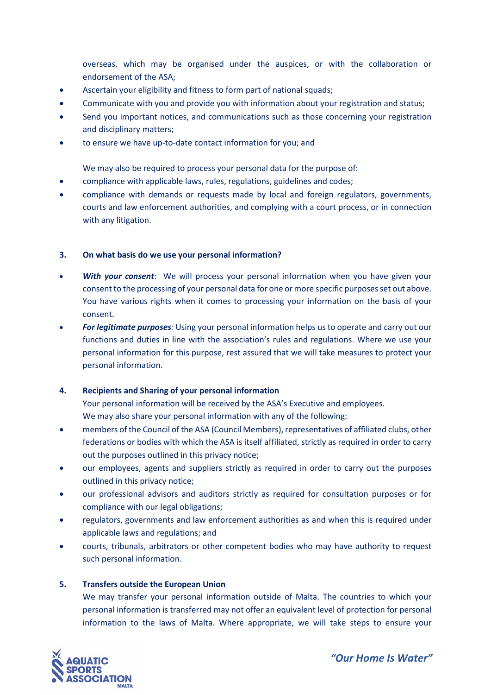overseas, which may be organised under the auspices, or with the collaboration or endorsement of the ASA;

- Ascertain your eligibility and fitness to form part of national squads;
- Communicate with you and provide you with information about your registration and status;
- Send you important notices, and communications such as those concerning your registration and disciplinary matters;
- to ensure we have up-to-date contact information for you; and

We may also be required to process your personal data for the purpose of:

- compliance with applicable laws, rules, regulations, guidelines and codes;
- compliance with demands or requests made by local and foreign regulators, governments, courts and law enforcement authorities, and complying with a court process, or in connection with any litigation.

#### **3. On what basis do we use your personal information?**

- **With your consent**: We will process your personal information when you have given your consent to the processing of your personal data for one or more specific purposes set out above. You have various rights when it comes to processing your information on the basis of your consent.
- *For legitimate purposes:* Using your personal information helps us to operate and carry out our functions and duties in line with the association's rules and regulations. Where we use your personal information for this purpose, rest assured that we will take measures to protect your personal information.

#### **4. Recipients and Sharing of your personal information**

Your personal information will be received by the ASA's Executive and employees. We may also share your personal information with any of the following:

- members of the Council of the ASA (Council Members), representatives of affiliated clubs, other federations or bodies with which the ASA is itself affiliated, strictly as required in order to carry out the purposes outlined in this privacy notice;
- our employees, agents and suppliers strictly as required in order to carry out the purposes outlined in this privacy notice;
- our professional advisors and auditors strictly as required for consultation purposes or for compliance with our legal obligations;
- regulators, governments and law enforcement authorities as and when this is required under applicable laws and regulations; and
- courts, tribunals, arbitrators or other competent bodies who may have authority to request such personal information.

# **5. Transfers outside the European Union**

We may transfer your personal information outside of Malta. The countries to which your personal information is transferred may not offer an equivalent level of protection for personal information to the laws of Malta. Where appropriate, we will take steps to ensure your

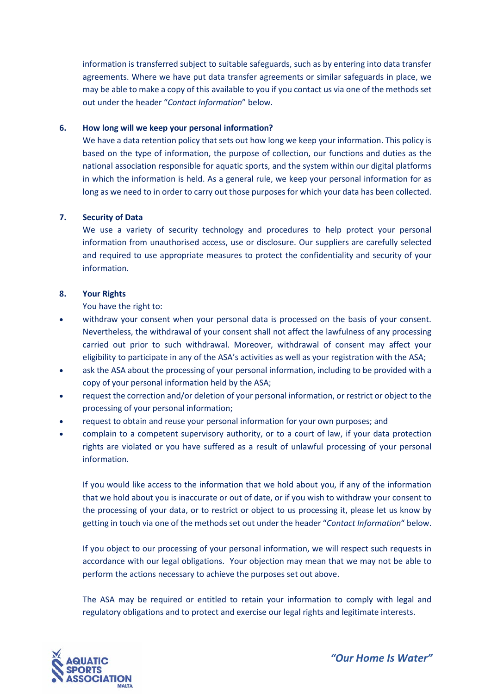information is transferred subject to suitable safeguards, such as by entering into data transfer agreements. Where we have put data transfer agreements or similar safeguards in place, we may be able to make a copy of this available to you if you contact us via one of the methods set out under the header "*Contact Information*" below.

## **6. How long will we keep your personal information?**

We have a data retention policy that sets out how long we keep your information. This policy is based on the type of information, the purpose of collection, our functions and duties as the national association responsible for aquatic sports, and the system within our digital platforms in which the information is held. As a general rule, we keep your personal information for as long as we need to in order to carry out those purposes for which your data has been collected.

## **7. Security of Data**

We use a variety of security technology and procedures to help protect your personal information from unauthorised access, use or disclosure. Our suppliers are carefully selected and required to use appropriate measures to protect the confidentiality and security of your information.

## **8. Your Rights**

You have the right to:

- withdraw your consent when your personal data is processed on the basis of your consent. Nevertheless, the withdrawal of your consent shall not affect the lawfulness of any processing carried out prior to such withdrawal. Moreover, withdrawal of consent may affect your eligibility to participate in any of the ASA's activities as well as your registration with the ASA;
- ask the ASA about the processing of your personal information, including to be provided with a copy of your personal information held by the ASA;
- request the correction and/or deletion of your personal information, or restrict or object to the processing of your personal information;
- request to obtain and reuse your personal information for your own purposes; and
- complain to a competent supervisory authority, or to a court of law, if your data protection rights are violated or you have suffered as a result of unlawful processing of your personal information.

If you would like access to the information that we hold about you, if any of the information that we hold about you is inaccurate or out of date, or if you wish to withdraw your consent to the processing of your data, or to restrict or object to us processing it, please let us know by getting in touch via one of the methods set out under the header "*Contact Information*" below.

If you object to our processing of your personal information, we will respect such requests in accordance with our legal obligations. Your objection may mean that we may not be able to perform the actions necessary to achieve the purposes set out above.

The ASA may be required or entitled to retain your information to comply with legal and regulatory obligations and to protect and exercise our legal rights and legitimate interests.



*"Our Home Is Water"*